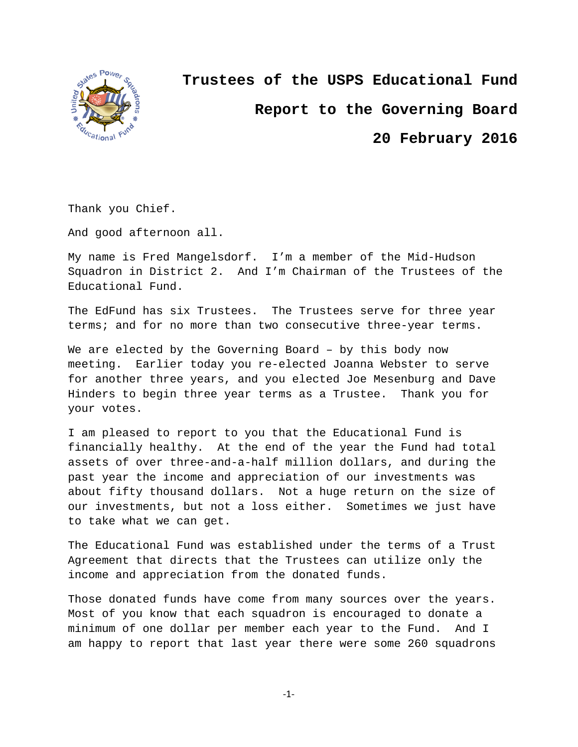

**Trustees of the USPS Educational Fund Report to the Governing Board**

**20 February 2016**

Thank you Chief.

And good afternoon all.

My name is Fred Mangelsdorf. I'm a member of the Mid-Hudson Squadron in District 2. And I'm Chairman of the Trustees of the Educational Fund.

The EdFund has six Trustees. The Trustees serve for three year terms; and for no more than two consecutive three-year terms.

We are elected by the Governing Board – by this body now meeting. Earlier today you re-elected Joanna Webster to serve for another three years, and you elected Joe Mesenburg and Dave Hinders to begin three year terms as a Trustee. Thank you for your votes.

I am pleased to report to you that the Educational Fund is financially healthy. At the end of the year the Fund had total assets of over three-and-a-half million dollars, and during the past year the income and appreciation of our investments was about fifty thousand dollars. Not a huge return on the size of our investments, but not a loss either. Sometimes we just have to take what we can get.

The Educational Fund was established under the terms of a Trust Agreement that directs that the Trustees can utilize only the income and appreciation from the donated funds.

Those donated funds have come from many sources over the years. Most of you know that each squadron is encouraged to donate a minimum of one dollar per member each year to the Fund. And I am happy to report that last year there were some 260 squadrons

 $-1-$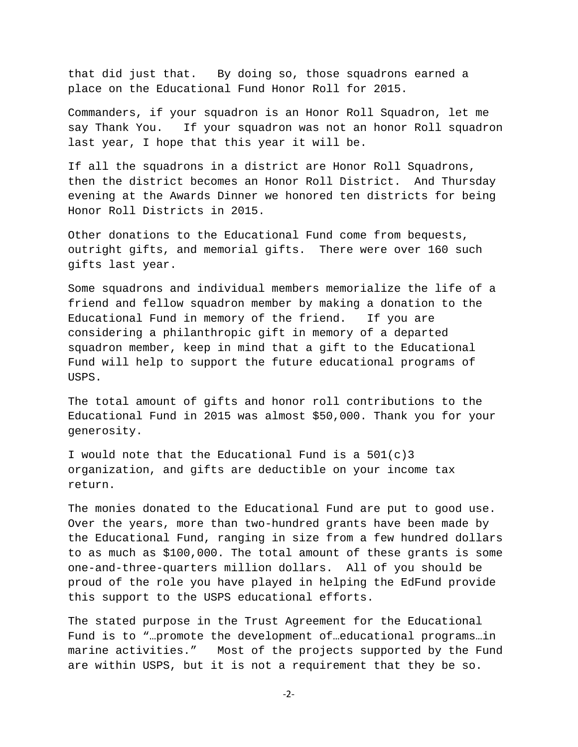that did just that. By doing so, those squadrons earned a place on the Educational Fund Honor Roll for 2015.

Commanders, if your squadron is an Honor Roll Squadron, let me say Thank You. If your squadron was not an honor Roll squadron last year, I hope that this year it will be.

If all the squadrons in a district are Honor Roll Squadrons, then the district becomes an Honor Roll District. And Thursday evening at the Awards Dinner we honored ten districts for being Honor Roll Districts in 2015.

Other donations to the Educational Fund come from bequests, outright gifts, and memorial gifts. There were over 160 such gifts last year.

Some squadrons and individual members memorialize the life of a friend and fellow squadron member by making a donation to the Educational Fund in memory of the friend. If you are considering a philanthropic gift in memory of a departed squadron member, keep in mind that a gift to the Educational Fund will help to support the future educational programs of USPS.

The total amount of gifts and honor roll contributions to the Educational Fund in 2015 was almost \$50,000. Thank you for your generosity.

I would note that the Educational Fund is a  $501(c)3$ organization, and gifts are deductible on your income tax return.

The monies donated to the Educational Fund are put to good use. Over the years, more than two-hundred grants have been made by the Educational Fund, ranging in size from a few hundred dollars to as much as \$100,000. The total amount of these grants is some one-and-three-quarters million dollars. All of you should be proud of the role you have played in helping the EdFund provide this support to the USPS educational efforts.

The stated purpose in the Trust Agreement for the Educational Fund is to "…promote the development of…educational programs…in marine activities." Most of the projects supported by the Fund are within USPS, but it is not a requirement that they be so.

‐2‐